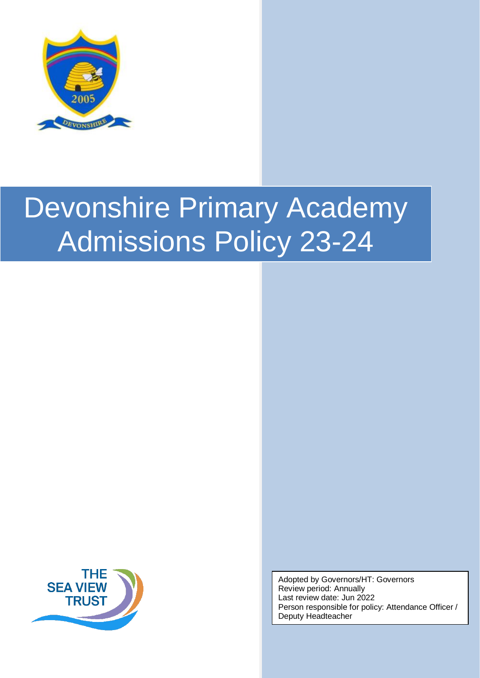



Adopted by Governors/HT: Governors Review period: Annually Last review date: Jun 2022 Person responsible for policy: Attendance Officer / Deputy Headteacher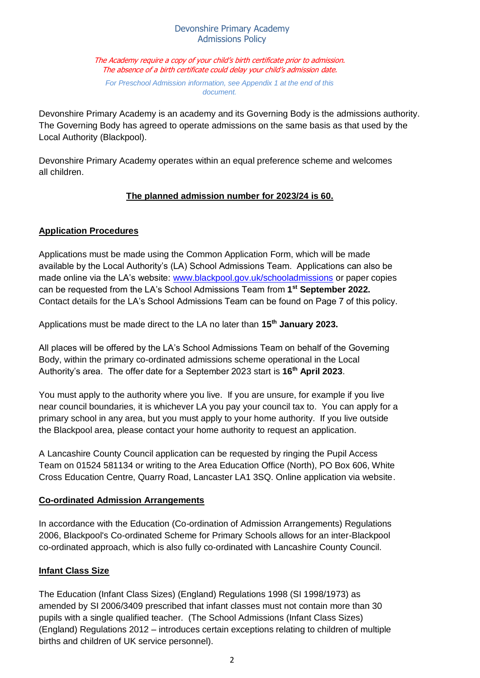The Academy require a copy of your child's birth certificate prior to admission. The absence of a birth certificate could delay your child's admission date.

*For Preschool Admission information, see Appendix 1 at the end of this document.*

Devonshire Primary Academy is an academy and its Governing Body is the admissions authority. The Governing Body has agreed to operate admissions on the same basis as that used by the Local Authority (Blackpool).

Devonshire Primary Academy operates within an equal preference scheme and welcomes all children.

## **The planned admission number for 2023/24 is 60.**

## **Application Procedures**

Applications must be made using the Common Application Form, which will be made available by the Local Authority's (LA) School Admissions Team. Applications can also be made online via the LA's website[:](http://www.blackpool.gov.uk/schooladmissions) [www.blackpool.gov.uk/schooladmissions](http://www.blackpool.gov.uk/schooladmissions) [o](http://www.blackpool.gov.uk/schooladmissions)r paper copies can be requested from the LA's School Admissions Team [from](http://www.blackpool.gov.uk/schooladmissions) **1 st [September](http://www.blackpool.gov.uk/schooladmissions) 2022.**  Contact details for the LA's School Admissions Team can be found on Page 7 of this policy.

Applications must be made direct to the LA no later than **15th January 2023.**

All places will be offered by the LA's School Admissions Team on behalf of the Governing Body, within the primary co-ordinated admissions scheme operational in the Local Authority's area. The offer date for a September 2023 start is **16th April 2023**.

You must apply to the authority where you live. If you are unsure, for example if you live near council boundaries, it is whichever LA you pay your council tax to. You can apply for a primary school in any area, but you must apply to your home authority. If you live outside the Blackpool area, please contact your home authority to request an application.

A Lancashire County Council application can be requested by ringing the Pupil Access Team on 01524 581134 or writing to the Area Education Office (North), PO Box 606, White Cross Education Centre, Quarry Road, Lancaster LA1 3SQ. Online application via website.

## **Co-ordinated Admission Arrangements**

In accordance with the Education (Co-ordination of Admission Arrangements) Regulations 2006, Blackpool's Co-ordinated Scheme for Primary Schools allows for an inter-Blackpool co-ordinated approach, which is also fully co-ordinated with Lancashire County Council.

## **Infant Class Size**

The Education (Infant Class Sizes) (England) Regulations 1998 (SI 1998/1973) as amended by SI 2006/3409 prescribed that infant classes must not contain more than 30 pupils with a single qualified teacher. (The School Admissions (Infant Class Sizes) (England) Regulations 2012 – introduces certain exceptions relating to children of multiple births and children of UK service personnel).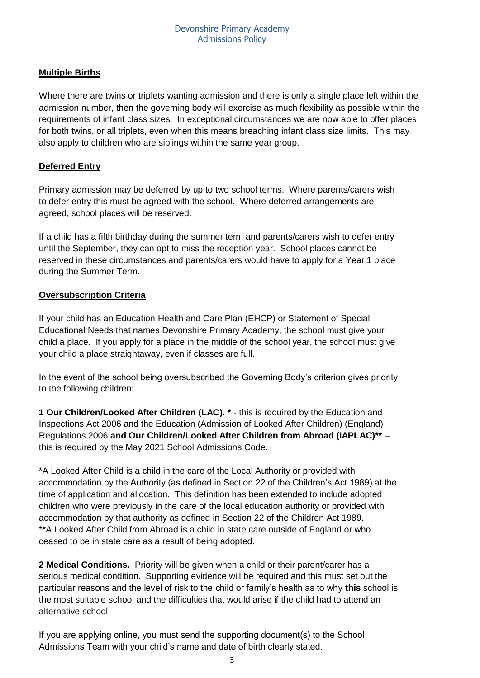## **Multiple Births**

Where there are twins or triplets wanting admission and there is only a single place left within the admission number, then the governing body will exercise as much flexibility as possible within the requirements of infant class sizes. In exceptional circumstances we are now able to offer places for both twins, or all triplets, even when this means breaching infant class size limits. This may also apply to children who are siblings within the same year group.

## **Deferred Entry**

Primary admission may be deferred by up to two school terms. Where parents/carers wish to defer entry this must be agreed with the school.Where deferred arrangements are agreed, school places will be reserved.

If a child has a fifth birthday during the summer term and parents/carers wish to defer entry until the September, they can opt to miss the reception year. School places cannot be reserved in these circumstances and parents/carers would have to apply for a Year 1 place during the Summer Term.

## **Oversubscription Criteria**

If your child has an Education Health and Care Plan (EHCP) or Statement of Special Educational Needs that names Devonshire Primary Academy, the school must give your child a place. If you apply for a place in the middle of the school year, the school must give your child a place straightaway, even if classes are full.

In the event of the school being oversubscribed the Governing Body's criterion gives priority to the following children:

**1 Our Children/Looked After Children (LAC). \*** - this is required by the Education and Inspections Act 2006 and the Education (Admission of Looked After Children) (England) Regulations 2006 **and Our Children/Looked After Children from Abroad (IAPLAC)\*\*** – this is required by the May 2021 School Admissions Code.

\*A Looked After Child is a child in the care of the Local Authority or provided with accommodation by the Authority (as defined in Section 22 of the Children's Act 1989) at the time of application and allocation. This definition has been extended to include adopted children who were previously in the care of the local education authority or provided with accommodation by that authority as defined in Section 22 of the Children Act 1989. \*\*A Looked After Child from Abroad is a child in state care outside of England or who ceased to be in state care as a result of being adopted.

**2 Medical Conditions.** Priority will be given when a child or their parent/carer has a serious medical condition. Supporting evidence will be required and this must set out the particular reasons and the level of risk to the child or family's health as to why **this** school is the most suitable school and the difficulties that would arise if the child had to attend an alternative school.

If you are applying online, you must send the supporting document(s) to the School Admissions Team with your child's name and date of birth clearly stated.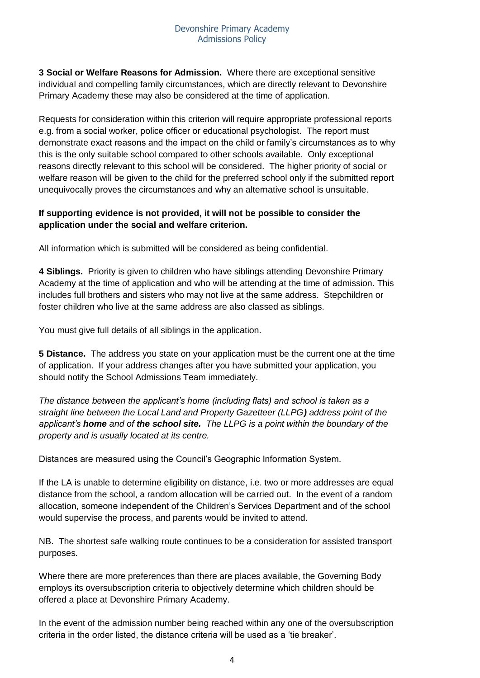**3 Social or Welfare Reasons for Admission.** Where there are exceptional sensitive individual and compelling family circumstances, which are directly relevant to Devonshire Primary Academy these may also be considered at the time of application.

Requests for consideration within this criterion will require appropriate professional reports e.g. from a social worker, police officer or educational psychologist. The report must demonstrate exact reasons and the impact on the child or family's circumstances as to why this is the only suitable school compared to other schools available. Only exceptional reasons directly relevant to this school will be considered. The higher priority of social or welfare reason will be given to the child for the preferred school only if the submitted report unequivocally proves the circumstances and why an alternative school is unsuitable.

## **If supporting evidence is not provided, it will not be possible to consider the application under the social and welfare criterion.**

All information which is submitted will be considered as being confidential.

**4 Siblings.** Priority is given to children who have siblings attending Devonshire Primary Academy at the time of application and who will be attending at the time of admission. This includes full brothers and sisters who may not live at the same address. Stepchildren or foster children who live at the same address are also classed as siblings.

You must give full details of all siblings in the application.

**5 Distance.** The address you state on your application must be the current one at the time of application. If your address changes after you have submitted your application, you should notify the School Admissions Team immediately.

*The distance between the applicant's home (including flats) and school is taken as a straight line between the Local Land and Property Gazetteer (LLPG) address point of the applicant's home and of the school site. The LLPG is a point within the boundary of the property and is usually located at its centre.*

Distances are measured using the Council's Geographic Information System.

If the LA is unable to determine eligibility on distance, i.e. two or more addresses are equal distance from the school, a random allocation will be carried out. In the event of a random allocation, someone independent of the Children's Services Department and of the school would supervise the process, and parents would be invited to attend.

NB. The shortest safe walking route continues to be a consideration for assisted transport purposes.

Where there are more preferences than there are places available, the Governing Body employs its oversubscription criteria to objectively determine which children should be offered a place at Devonshire Primary Academy.

In the event of the admission number being reached within any one of the oversubscription criteria in the order listed, the distance criteria will be used as a 'tie breaker'.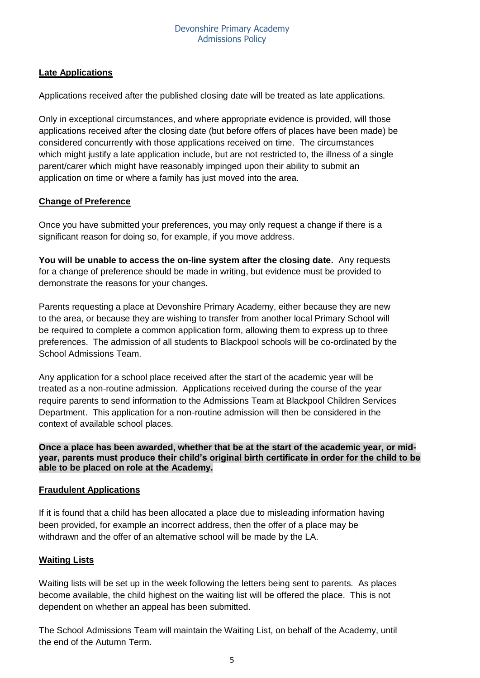## **Late Applications**

Applications received after the published closing date will be treated as late applications.

Only in exceptional circumstances, and where appropriate evidence is provided, will those applications received after the closing date (but before offers of places have been made) be considered concurrently with those applications received on time. The circumstances which might justify a late application include, but are not restricted to, the illness of a single parent/carer which might have reasonably impinged upon their ability to submit an application on time or where a family has just moved into the area.

## **Change of Preference**

Once you have submitted your preferences, you may only request a change if there is a significant reason for doing so, for example, if you move address.

**You will be unable to access the on-line system after the closing date.** Any requests for a change of preference should be made in writing, but evidence must be provided to demonstrate the reasons for your changes.

Parents requesting a place at Devonshire Primary Academy, either because they are new to the area, or because they are wishing to transfer from another local Primary School will be required to complete a common application form, allowing them to express up to three preferences. The admission of all students to Blackpool schools will be co-ordinated by the School Admissions Team.

Any application for a school place received after the start of the academic year will be treated as a non-routine admission. Applications received during the course of the year require parents to send information to the Admissions Team at Blackpool Children Services Department. This application for a non-routine admission will then be considered in the context of available school places.

**Once a place has been awarded, whether that be at the start of the academic year, or midyear, parents must produce their child's original birth certificate in order for the child to be able to be placed on role at the Academy.**

## **Fraudulent Applications**

If it is found that a child has been allocated a place due to misleading information having been provided, for example an incorrect address, then the offer of a place may be withdrawn and the offer of an alternative school will be made by the LA.

## **Waiting Lists**

Waiting lists will be set up in the week following the letters being sent to parents. As places become available, the child highest on the waiting list will be offered the place. This is not dependent on whether an appeal has been submitted.

The School Admissions Team will maintain the Waiting List, on behalf of the Academy, until the end of the Autumn Term.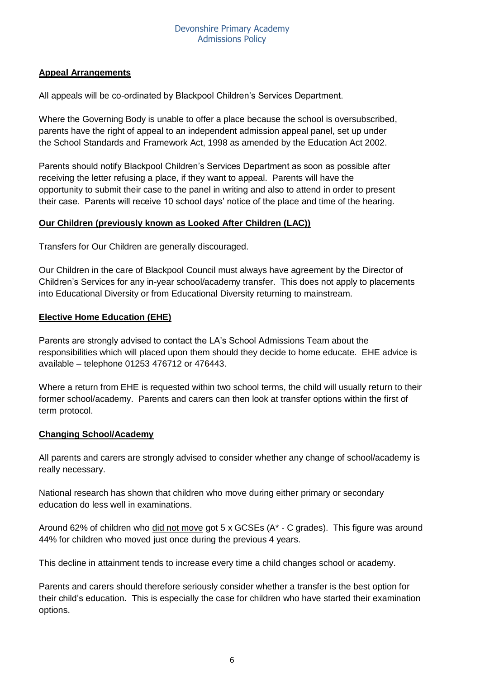## **Appeal Arrangements**

All appeals will be co-ordinated by Blackpool Children's Services Department.

Where the Governing Body is unable to offer a place because the school is oversubscribed, parents have the right of appeal to an independent admission appeal panel, set up under the School Standards and Framework Act, 1998 as amended by the Education Act 2002.

Parents should notify Blackpool Children's Services Department as soon as possible after receiving the letter refusing a place, if they want to appeal. Parents will have the opportunity to submit their case to the panel in writing and also to attend in order to present their case. Parents will receive 10 school days' notice of the place and time of the hearing.

#### **Our Children (previously known as Looked After Children (LAC))**

Transfers for Our Children are generally discouraged.

Our Children in the care of Blackpool Council must always have agreement by the Director of Children's Services for any in-year school/academy transfer. This does not apply to placements into Educational Diversity or from Educational Diversity returning to mainstream.

#### **Elective Home Education (EHE)**

Parents are strongly advised to contact the LA's School Admissions Team about the responsibilities which will placed upon them should they decide to home educate. EHE advice is available – telephone 01253 476712 or 476443.

Where a return from EHE is requested within two school terms, the child will usually return to their former school/academy. Parents and carers can then look at transfer options within the first of term protocol.

#### **Changing School/Academy**

All parents and carers are strongly advised to consider whether any change of school/academy is really necessary.

National research has shown that children who move during either primary or secondary education do less well in examinations.

Around 62% of children who did not move got 5 x GCSEs (A\* - C grades). This figure was around 44% for children who moved just once during the previous 4 years.

This decline in attainment tends to increase every time a child changes school or academy.

Parents and carers should therefore seriously consider whether a transfer is the best option for their child's education**.** This is especially the case for children who have started their examination options.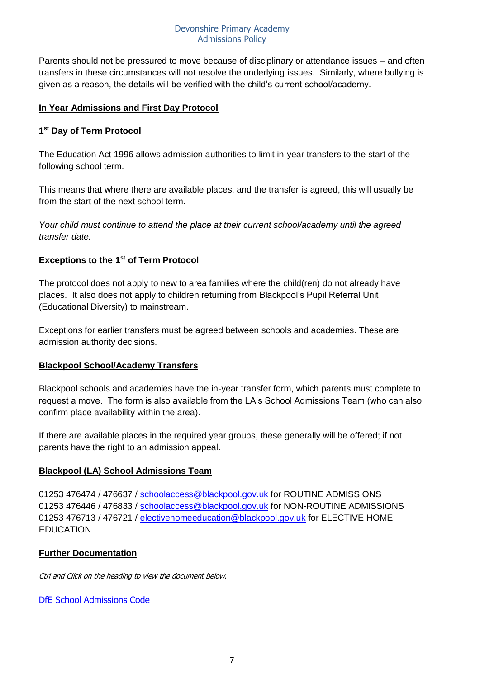Parents should not be pressured to move because of disciplinary or attendance issues – and often transfers in these circumstances will not resolve the underlying issues. Similarly, where bullying is given as a reason, the details will be verified with the child's current school/academy.

#### **In Year Admissions and First Day Protocol**

## **1 st Day of Term Protocol**

The Education Act 1996 allows admission authorities to limit in-year transfers to the start of the following school term.

This means that where there are available places, and the transfer is agreed, this will usually be from the start of the next school term.

*Your child must continue to attend the place at their current school/academy until the agreed transfer date.*

#### **Exceptions to the 1st of Term Protocol**

The protocol does not apply to new to area families where the child(ren) do not already have places. It also does not apply to children returning from Blackpool's Pupil Referral Unit (Educational Diversity) to mainstream.

Exceptions for earlier transfers must be agreed between schools and academies. These are admission authority decisions.

#### **Blackpool School/Academy Transfers**

Blackpool schools and academies have the in-year transfer form, which parents must complete to request a move. The form is also available from the LA's School Admissions Team (who can also confirm place availability within the area).

If there are available places in the required year groups, these generally will be offered; if not parents have the right to an admission appeal.

## **Blackpool (LA) School Admissions Team**

01253 476474 / 476637 / [schoolaccess@blackpool.gov.uk](mailto:schoolaccess@blackpool.gov.uk) for ROUTINE ADMISSIONS 01253 476446 / 476833 / [schoolaccess@blackpool.gov.uk](mailto:schoolaccess@blackpool.gov.uk) for NON-ROUTINE ADMISSIONS 01253 476713 / 476721 / [electivehomeeducation@blackpool.gov.uk](mailto:electivehomeeducation@blackpool.gov.uk) for ELECTIVE HOME **EDUCATION** 

## **Further Documentation**

Ctrl and Click on the heading to view the document below.

[DfE School Admissions Code](https://assets.publishing.service.gov.uk/government/uploads/system/uploads/attachment_data/file/1001050/School_admissions_code_2021.pdf)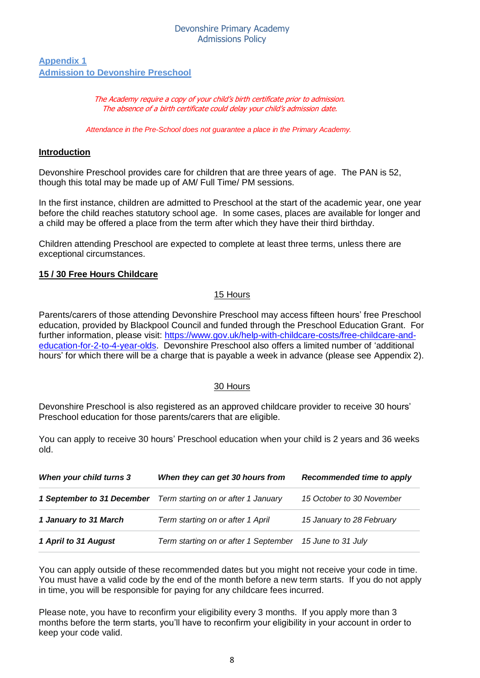#### **Appendix 1 Admission to Devonshire Preschool**

#### The Academy require a copy of your child's birth certificate prior to admission. The absence of a birth certificate could delay your child's admission date.

*Attendance in the Pre-School does not guarantee a place in the Primary Academy.*

#### **Introduction**

Devonshire Preschool provides care for children that are three years of age. The PAN is 52, though this total may be made up of AM/ Full Time/ PM sessions.

In the first instance, children are admitted to Preschool at the start of the academic year, one year before the child reaches statutory school age. In some cases, places are available for longer and a child may be offered a place from the term after which they have their third birthday.

Children attending Preschool are expected to complete at least three terms, unless there are exceptional circumstances.

## **15 / 30 Free Hours Childcare**

#### 15 Hours

Parents/carers of those attending Devonshire Preschool may access fifteen hours' free Preschool education, provided by Blackpool Council and funded through the Preschool Education Grant. For further information, please visit: [https://www.gov.uk/help-with-childcare-costs/free-childcare-and](https://www.gov.uk/help-with-childcare-costs/free-childcare-and-education-for-2-to-4-year-olds)[education-for-2-to-4-year-olds.](https://www.gov.uk/help-with-childcare-costs/free-childcare-and-education-for-2-to-4-year-olds) Devonshire Preschool also offers a limited number of 'additional hours' for which there will be a charge that is payable a week in advance (please see Appendix 2).

#### 30 Hours

Devonshire Preschool is also registered as an approved childcare provider to receive 30 hours' Preschool education for those parents/carers that are eligible.

You can apply to receive 30 hours' Preschool education when your child is 2 years and 36 weeks old.

| When your child turns 3 | When they can get 30 hours from                                       | Recommended time to apply |
|-------------------------|-----------------------------------------------------------------------|---------------------------|
|                         | <b>1 September to 31 December</b> Term starting on or after 1 January | 15 October to 30 November |
| 1 January to 31 March   | Term starting on or after 1 April                                     | 15 January to 28 February |
| 1 April to 31 August    | Term starting on or after 1 September                                 | 15 June to 31 July        |

You can apply outside of these recommended dates but you might not receive your code in time. You must have a valid code by the end of the month before a new term starts. If you do not apply in time, you will be responsible for paying for any childcare fees incurred.

Please note, you have to reconfirm your eligibility every 3 months. If you apply more than 3 months before the term starts, you'll have to reconfirm your eligibility in your account in order to keep your code valid.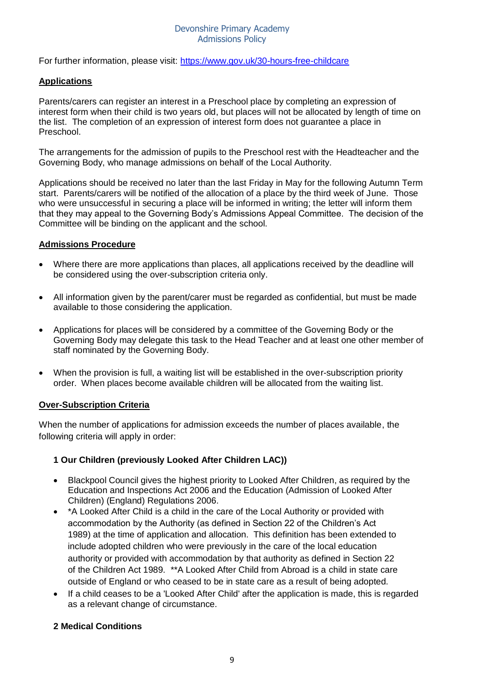For further information, please visit:<https://www.gov.uk/30-hours-free-childcare>

#### **Applications**

Parents/carers can register an interest in a Preschool place by completing an expression of interest form when their child is two years old, but places will not be allocated by length of time on the list. The completion of an expression of interest form does not guarantee a place in Preschool.

The arrangements for the admission of pupils to the Preschool rest with the Headteacher and the Governing Body, who manage admissions on behalf of the Local Authority.

Applications should be received no later than the last Friday in May for the following Autumn Term start. Parents/carers will be notified of the allocation of a place by the third week of June. Those who were unsuccessful in securing a place will be informed in writing; the letter will inform them that they may appeal to the Governing Body's Admissions Appeal Committee. The decision of the Committee will be binding on the applicant and the school.

#### **Admissions Procedure**

- Where there are more applications than places, all applications received by the deadline will be considered using the over-subscription criteria only.
- All information given by the parent/carer must be regarded as confidential, but must be made available to those considering the application.
- Applications for places will be considered by a committee of the Governing Body or the Governing Body may delegate this task to the Head Teacher and at least one other member of staff nominated by the Governing Body.
- When the provision is full, a waiting list will be established in the over-subscription priority order. When places become available children will be allocated from the waiting list.

#### **Over-Subscription Criteria**

When the number of applications for admission exceeds the number of places available, the following criteria will apply in order:

#### **1 Our Children (previously Looked After Children LAC))**

- Blackpool Council gives the highest priority to Looked After Children, as required by the Education and Inspections Act 2006 and the Education (Admission of Looked After Children) (England) Regulations 2006.
- \*A Looked After Child is a child in the care of the Local Authority or provided with accommodation by the Authority (as defined in Section 22 of the Children's Act 1989) at the time of application and allocation. This definition has been extended to include adopted children who were previously in the care of the local education authority or provided with accommodation by that authority as defined in Section 22 of the Children Act 1989. \*\*A Looked After Child from Abroad is a child in state care outside of England or who ceased to be in state care as a result of being adopted.
- If a child ceases to be a 'Looked After Child' after the application is made, this is regarded as a relevant change of circumstance.

#### **2 Medical Conditions**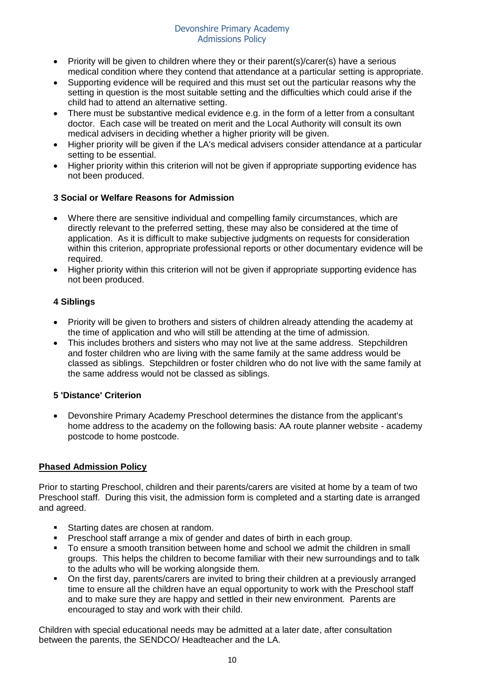- Priority will be given to children where they or their parent(s)/carer(s) have a serious medical condition where they contend that attendance at a particular setting is appropriate.
- Supporting evidence will be required and this must set out the particular reasons why the setting in question is the most suitable setting and the difficulties which could arise if the child had to attend an alternative setting.
- There must be substantive medical evidence e.g. in the form of a letter from a consultant doctor. Each case will be treated on merit and the Local Authority will consult its own medical advisers in deciding whether a higher priority will be given.
- Higher priority will be given if the LA's medical advisers consider attendance at a particular setting to be essential.
- Higher priority within this criterion will not be given if appropriate supporting evidence has not been produced.

## **3 Social or Welfare Reasons for Admission**

- Where there are sensitive individual and compelling family circumstances, which are directly relevant to the preferred setting, these may also be considered at the time of application. As it is difficult to make subjective judgments on requests for consideration within this criterion, appropriate professional reports or other documentary evidence will be required.
- Higher priority within this criterion will not be given if appropriate supporting evidence has not been produced.

## **4 Siblings**

- Priority will be given to brothers and sisters of children already attending the academy at the time of application and who will still be attending at the time of admission.
- This includes brothers and sisters who may not live at the same address. Stepchildren and foster children who are living with the same family at the same address would be classed as siblings. Stepchildren or foster children who do not live with the same family at the same address would not be classed as siblings.

## **5 'Distance' Criterion**

• Devonshire Primary Academy Preschool determines the distance from the applicant's home address to the academy on the following basis: AA route planner website - academy postcode to home postcode.

## **Phased Admission Policy**

Prior to starting Preschool, children and their parents/carers are visited at home by a team of two Preschool staff. During this visit, the admission form is completed and a starting date is arranged and agreed.

- Starting dates are chosen at random.
- Preschool staff arrange a mix of gender and dates of birth in each group.
- To ensure a smooth transition between home and school we admit the children in small groups. This helps the children to become familiar with their new surroundings and to talk to the adults who will be working alongside them.
- On the first day, parents/carers are invited to bring their children at a previously arranged time to ensure all the children have an equal opportunity to work with the Preschool staff and to make sure they are happy and settled in their new environment. Parents are encouraged to stay and work with their child.

Children with special educational needs may be admitted at a later date, after consultation between the parents, the SENDCO/ Headteacher and the LA.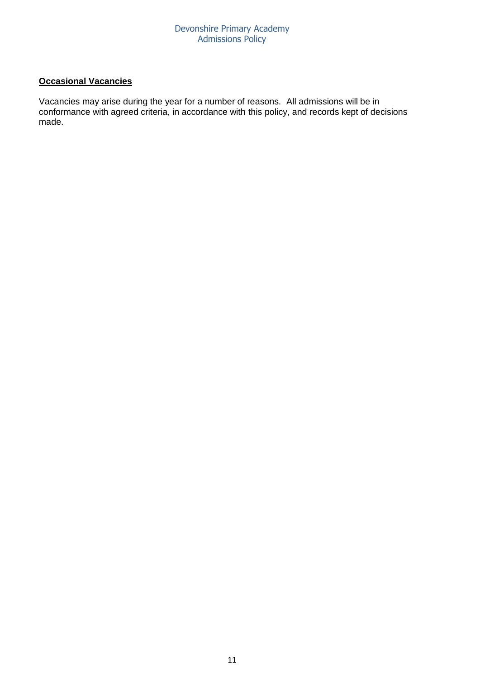# **Occasional Vacancies**

Vacancies may arise during the year for a number of reasons. All admissions will be in conformance with agreed criteria, in accordance with this policy, and records kept of decisions made.